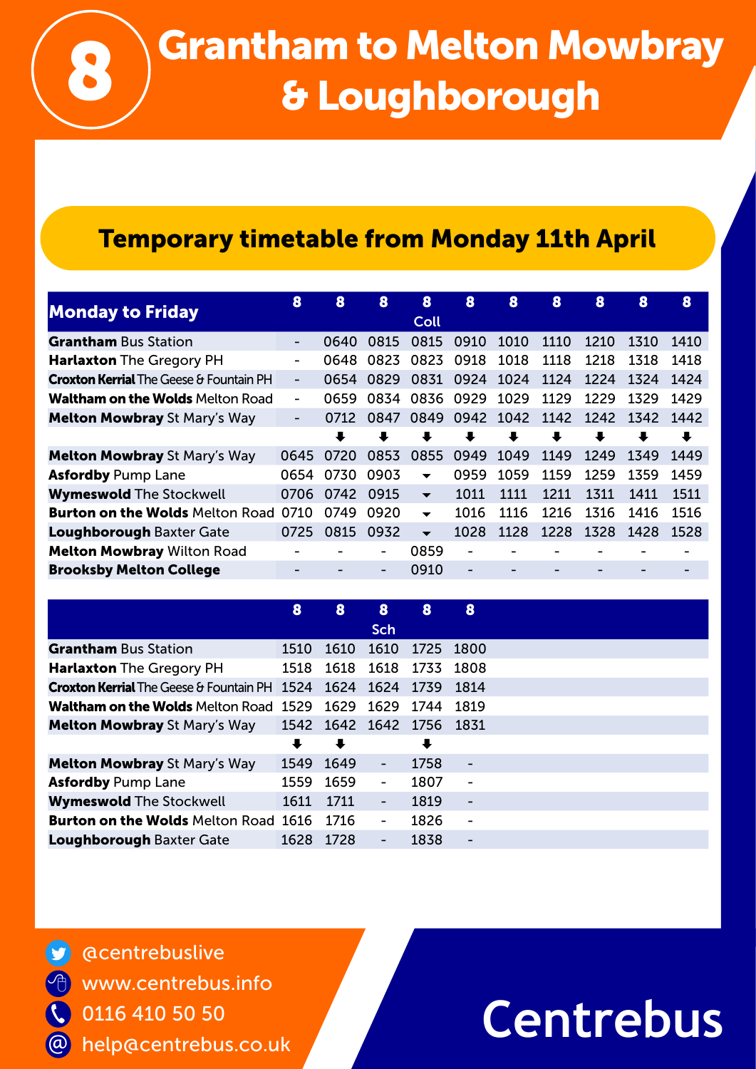

# Grantham to Melton Mowbray<br>& Loughborough

## Temporary timetable from Monday 11th April

| <b>Monday to Friday</b>                        | 8                        | 8                    | 8    | 8                        | 8                    | 8    | 8    | 8    | 8         | 8                    |
|------------------------------------------------|--------------------------|----------------------|------|--------------------------|----------------------|------|------|------|-----------|----------------------|
|                                                |                          |                      |      | Coll                     |                      |      |      |      |           |                      |
| <b>Grantham</b> Bus Station                    | Ξ.                       | 0640                 | 0815 | 0815                     | 0910                 | 1010 | 1110 | 1210 | 1310      | 1410                 |
| <b>Harlaxton</b> The Gregory PH                |                          | 0648                 | 0823 | 0823                     | 0918                 | 1018 | 1118 | 1218 | 1318      | 1418                 |
| <b>Croxton Kerrial</b> The Geese & Fountain PH | $\overline{\phantom{0}}$ | 0654                 | 0829 |                          | 0831 0924            | 1024 | 1124 | 1224 | 1324      | 1424                 |
| <b>Waltham on the Wolds Melton Road</b>        | -                        | 0659                 | 0834 | 0836                     | 0929                 | 1029 | 1129 | 1229 | 1329      | 1429                 |
| <b>Melton Mowbray St Mary's Way</b>            | $\overline{\phantom{0}}$ | 0712                 | 0847 |                          | 0849 0942 1042       |      | 1142 |      | 1242 1342 | 1442                 |
|                                                |                          | $\ddot{\phantom{a}}$ | ┺    | $\ddot{\phantom{a}}$     | $\ddot{\phantom{a}}$ | ┺    | ₩    | ┺    | ┺         | $\ddot{\phantom{a}}$ |
| <b>Melton Mowbray St Mary's Way</b>            | 0645                     | 0720                 | 0853 | 0855                     | 0949                 | 1049 | 1149 | 1249 | 1349      | 1449                 |
| <b>Asfordby Pump Lane</b>                      | 0654                     | 0730                 | 0903 | $\overline{\phantom{0}}$ | 0959                 | 1059 | 1159 | 1259 | 1359      | 1459                 |
| <b>Wymeswold The Stockwell</b>                 | 0706                     | 0742                 | 0915 | $\overline{\phantom{0}}$ | 1011                 | 1111 | 1211 | 1311 | 1411      | 1511                 |
| <b>Burton on the Wolds Melton Road</b>         | 0710                     | 0749                 | 0920 | $\overline{\phantom{0}}$ | 1016                 | 1116 | 1216 | 1316 | 1416      | 1516                 |
| <b>Loughborough Baxter Gate</b>                | 0725                     | 0815                 | 0932 | $\overline{\phantom{0}}$ | 1028                 | 1128 | 1228 | 1328 | 1428      | 1528                 |
| <b>Melton Mowbray Wilton Road</b>              |                          |                      | -    | 0859                     |                      |      |      |      |           |                      |
| <b>Brooksby Melton College</b>                 |                          |                      |      | 0910                     |                      |      |      |      |           |                      |

| 8                                                   | 8    | 8                        | 8                    | 8                        |
|-----------------------------------------------------|------|--------------------------|----------------------|--------------------------|
|                                                     |      | Sch                      |                      |                          |
| 1510                                                | 1610 | 1610                     | 1725                 | 1800                     |
| 1518                                                | 1618 | 1618                     | 1733                 | 1808                     |
| <b>Croxton Kerrial</b> The Geese & Fountain PH 1524 | 1624 | 1624                     | 1739                 | 1814                     |
| <b>Waltham on the Wolds Melton Road 1529</b>        | 1629 | 1629                     | 1744                 | 1819                     |
| 1542                                                |      |                          |                      |                          |
| $\ddot{\phantom{a}}$                                |      |                          | $\ddot{\phantom{0}}$ |                          |
| 1549                                                | 1649 | $\overline{\phantom{a}}$ | 1758                 | $\overline{\phantom{a}}$ |
| 1559                                                | 1659 | $\blacksquare$           | 1807                 | $\overline{\phantom{a}}$ |
| 1611                                                | 1711 | $\blacksquare$           | 1819                 | $\overline{\phantom{a}}$ |
| <b>Burton on the Wolds Melton Road 1616</b>         | 1716 |                          | 1826                 | $\overline{\phantom{a}}$ |
| 1628                                                | 1728 | -                        | 1838                 | -                        |
|                                                     |      |                          |                      | 1642 1642 1756 1831      |

@centrebuslive **V** www.centrebus.info 他 % 0116 410 50 50 @ help@centrebus.co.uk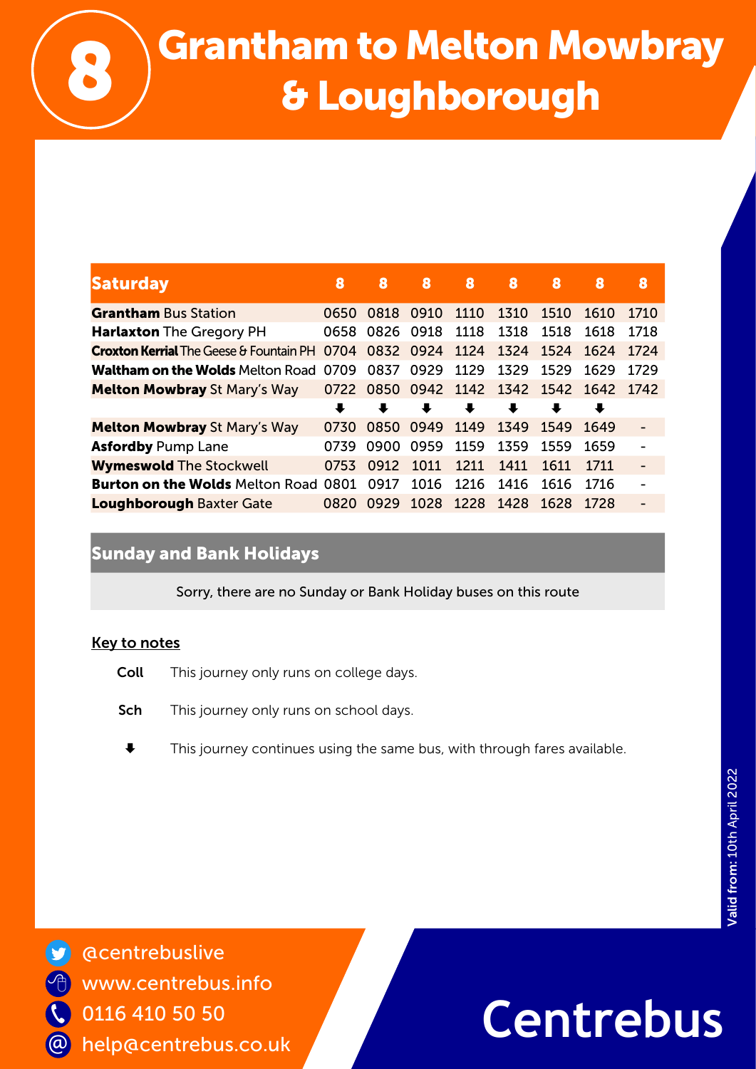

# Grantham to Melton Mowbray<br>8 Loughborough

| <b>Saturday</b>                                | 8    | 8                    | 8                             | 8    | 8                    | 8                    | 8    | 8    |
|------------------------------------------------|------|----------------------|-------------------------------|------|----------------------|----------------------|------|------|
| <b>Grantham Bus Station</b>                    | 0650 | 0818                 | 0910                          | 1110 | 1310                 | 1510                 | 1610 | 1710 |
| <b>Harlaxton</b> The Gregory PH                | 0658 | 0826                 | 0918                          | 1118 | 1318                 | 1518                 | 1618 | 1718 |
| <b>Croxton Kerrial</b> The Geese & Fountain PH | 0704 | 0832 0924            |                               | 1124 | 1324                 | 1524                 | 1624 | 1724 |
| <b>Waltham on the Wolds Melton Road 0709</b>   |      | 0837                 | 0929                          | 1129 | 1329                 | 1529                 | 1629 | 1729 |
| <b>Melton Mowbray St Mary's Way</b>            |      |                      | 0722 0850 0942 1142 1342 1542 |      |                      |                      | 1642 | 1742 |
|                                                | ↓    | $\ddot{\phantom{a}}$ | ┺                             | ┺    | $\ddot{\phantom{a}}$ | $\ddot{\phantom{a}}$ | ┺    |      |
| <b>Melton Mowbray St Mary's Way</b>            | 0730 | 0850                 | 0949                          | 1149 | 1349                 | 1549                 | 1649 |      |
| <b>Asfordby Pump Lane</b>                      | 0739 | 0900                 | 0959                          | 1159 | 1359                 | 1559                 | 1659 |      |
| <b>Wymeswold The Stockwell</b>                 | 0753 | 0912                 | 1011                          | 1211 | 1411                 | 1611                 | 1711 |      |
| <b>Burton on the Wolds Melton Road</b>         | 0801 | 0917                 | 1016                          | 1216 | 1416                 | 1616                 | 1716 |      |
| <b>Loughborough Baxter Gate</b>                | 0820 | 0929                 | 1028                          | 1228 | 1428                 | 1628                 | 1728 |      |

### Sunday and Bank Holidays

Sorry, there are no Sunday or Bank Holiday buses on this route

#### Key to notes

- **Coll** This journey only runs on college days.
- Sch This journey only runs on school days.
- $\blacklozenge$  This journey continues using the same bus, with through fares available.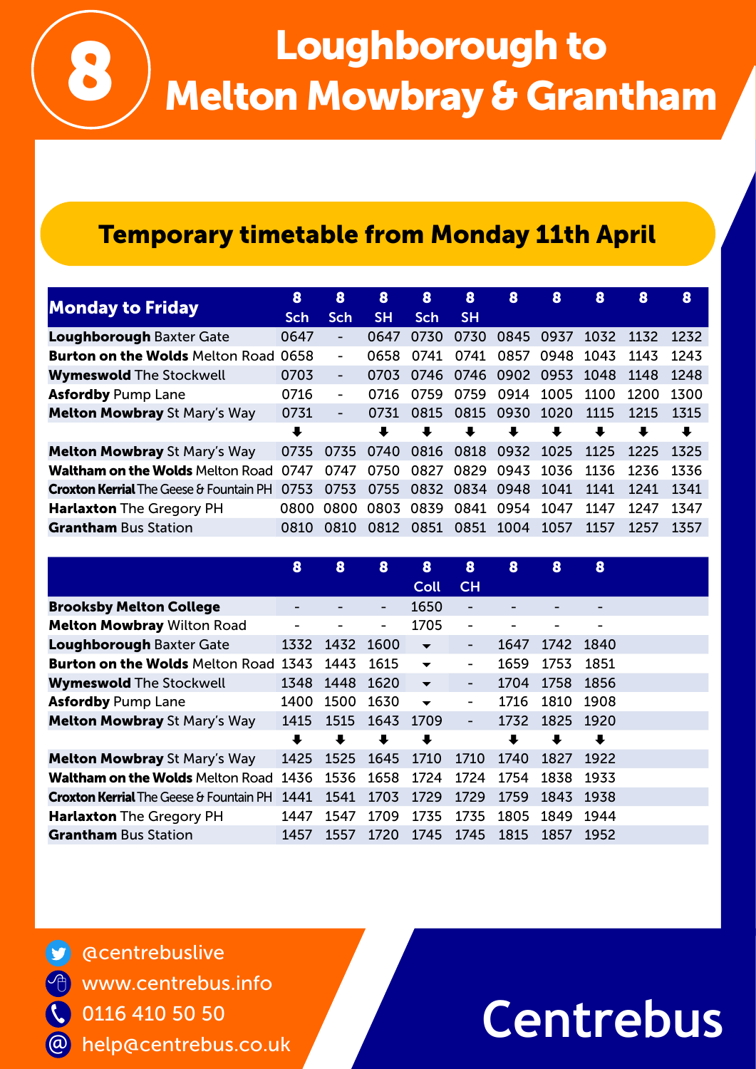# Loughborough to<br>Melton Mowbray & Grantham

### Temporary timetable from Monday 11th April

| <b>Monday to Friday</b>                        | 8          | 8          | 8                    | 8                    | 8                    | 8                   | 8                    | 8                    | 8    | 8                    |
|------------------------------------------------|------------|------------|----------------------|----------------------|----------------------|---------------------|----------------------|----------------------|------|----------------------|
|                                                | <b>Sch</b> | <b>Sch</b> | <b>SH</b>            | <b>Sch</b>           | <b>SH</b>            |                     |                      |                      |      |                      |
| <b>Loughborough Baxter Gate</b>                | 0647       | ۰          | 0647                 | 0730                 | 0730                 | 0845 0937           |                      | 1032                 | 1132 | 1232                 |
| <b>Burton on the Wolds Melton Road 0658</b>    |            |            | 0658                 | 0741                 | 0741                 | 0857                |                      | 0948 1043            | 1143 | 1243                 |
| <b>Wymeswold The Stockwell</b>                 | 0703       | ٠          | 0703                 |                      |                      | 0746 0746 0902 0953 |                      | 1048                 | 1148 | 1248                 |
| <b>Asfordby Pump Lane</b>                      | 0716       | ٠          | 0716                 | 0759                 | 0759                 | 0914                | 1005                 | 1100                 | 1200 | 1300                 |
| <b>Melton Mowbray St Mary's Way</b>            | 0731       |            | 0731                 | 0815                 | 0815                 | 0930                | 1020                 | 1115                 | 1215 | 1315                 |
|                                                | ₩          |            | $\ddot{\phantom{a}}$ | $\ddot{\phantom{a}}$ | $\ddot{\phantom{a}}$ | ┺                   | $\ddot{\phantom{a}}$ | $\ddot{\phantom{a}}$ | ┺    | $\ddot{\phantom{a}}$ |
| <b>Melton Mowbray St Mary's Way</b>            | 0735       | 0735       | 0740                 | 0816                 | 0818                 | 0932                | 1025                 | 1125                 | 1225 | 1325                 |
| <b>Waltham on the Wolds Melton Road</b>        | 0747       | 0747       | 0750                 | 0827                 |                      | 0829 0943           | 1036                 | 1136                 | 1236 | 1336                 |
| <b>Croxton Kerrial</b> The Geese & Fountain PH | 0753       | 0753       | 0755                 | 0832                 | 0834 0948            |                     | 1041                 | 1141                 | 1241 | 1341                 |
| <b>Harlaxton</b> The Gregory PH                | 0800       | 0800       | 0803                 | 0839                 | 0841                 | 0954                | 1047                 | 1147                 | 1247 | 1347                 |
| <b>Grantham Bus Station</b>                    | 0810       | 0810       | 0812                 | 0851                 | 0851 1004            |                     | 1057                 | 1157                 | 1257 | 1357                 |

|                                                | 8                    | 8                    | 8                    | 8                        | 8                        | 8    | 8    | 8    |  |
|------------------------------------------------|----------------------|----------------------|----------------------|--------------------------|--------------------------|------|------|------|--|
|                                                |                      |                      |                      | Coll                     | CH                       |      |      |      |  |
| <b>Brooksby Melton College</b>                 |                      |                      | -                    | 1650                     | $\overline{\phantom{0}}$ |      |      |      |  |
| <b>Melton Mowbray Wilton Road</b>              | -                    | -                    | -                    | 1705                     | $\overline{\phantom{0}}$ |      |      | -    |  |
| <b>Loughborough Baxter Gate</b>                | 1332                 | 1432                 | 1600                 | ▼                        | ۰                        | 1647 | 1742 | 1840 |  |
| <b>Burton on the Wolds Melton Road</b>         | 1343                 | 1443                 | 1615                 | $\blacktriangledown$     | -                        | 1659 | 1753 | 1851 |  |
| <b>Wymeswold The Stockwell</b>                 | 1348                 | 1448                 | 1620                 | $\overline{\mathbf{v}}$  | -                        | 1704 | 1758 | 1856 |  |
| <b>Asfordby Pump Lane</b>                      | 1400                 | 1500                 | 1630                 | $\overline{\phantom{a}}$ | -                        | 1716 | 1810 | 1908 |  |
| <b>Melton Mowbray St Mary's Way</b>            | 1415                 | 1515                 | 1643                 | 1709                     | $\overline{\phantom{a}}$ | 1732 | 1825 | 1920 |  |
|                                                | $\ddot{\phantom{1}}$ | $\ddot{\phantom{a}}$ | $\ddot{\phantom{a}}$ | ┺                        |                          |      | ₩    | ┺    |  |
| <b>Melton Mowbray St Mary's Way</b>            | 1425                 | 1525                 | 1645                 | 1710                     | 1710                     | 1740 | 1827 | 1922 |  |
| <b>Waltham on the Wolds Melton Road</b>        | 1436                 | 1536                 | 1658                 | 1724                     | 1724                     | 1754 | 1838 | 1933 |  |
| <b>Croxton Kerrial</b> The Geese & Fountain PH | 1441                 | 1541                 | 1703                 | 1729                     | 1729                     | 1759 | 1843 | 1938 |  |
| <b>Harlaxton</b> The Gregory PH                | 1447                 | 1547                 | 1709                 | 1735                     | 1735                     | 1805 | 1849 | 1944 |  |
| <b>Grantham</b> Bus Station                    | 1457                 | 1557                 | 1720                 | 1745                     | 1745                     | 1815 | 1857 | 1952 |  |

@centrebuslive www.centrebus.info 0116 410 50 50 help@centrebus.co.uk @

 $\overline{\mathcal{L}}$ 

 $\Theta$ 

**S**